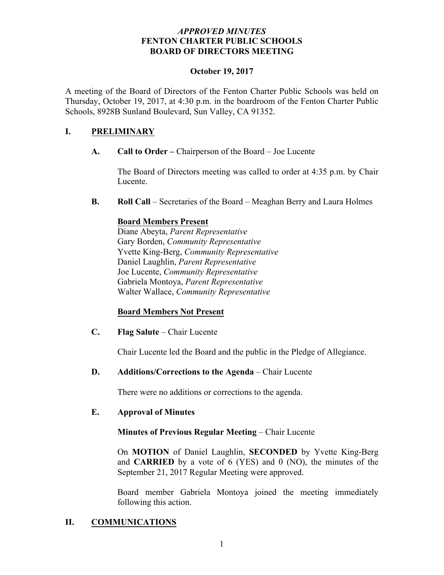#### *APPROVED MINUTES* **FENTON CHARTER PUBLIC SCHOOLS BOARD OF DIRECTORS MEETING**

#### **October 19, 2017**

A meeting of the Board of Directors of the Fenton Charter Public Schools was held on Thursday, October 19, 2017, at 4:30 p.m. in the boardroom of the Fenton Charter Public Schools, 8928B Sunland Boulevard, Sun Valley, CA 91352.

#### **I. PRELIMINARY**

**A. Call to Order –** Chairperson of the Board – Joe Lucente

The Board of Directors meeting was called to order at 4:35 p.m. by Chair Lucente.

**B. Roll Call** – Secretaries of the Board – Meaghan Berry and Laura Holmes

## **Board Members Present**

Diane Abeyta, *Parent Representative* Gary Borden, *Community Representative* Yvette King-Berg, *Community Representative* Daniel Laughlin, *Parent Representative* Joe Lucente, *Community Representative* Gabriela Montoya, *Parent Representative* Walter Wallace, *Community Representative* 

## **Board Members Not Present**

**C. Flag Salute** – Chair Lucente

Chair Lucente led the Board and the public in the Pledge of Allegiance.

#### **D. Additions/Corrections to the Agenda** – Chair Lucente

There were no additions or corrections to the agenda.

#### **E. Approval of Minutes**

#### **Minutes of Previous Regular Meeting** – Chair Lucente

On **MOTION** of Daniel Laughlin, **SECONDED** by Yvette King-Berg and **CARRIED** by a vote of 6 (YES) and 0 (NO), the minutes of the September 21, 2017 Regular Meeting were approved.

Board member Gabriela Montoya joined the meeting immediately following this action.

## **II. COMMUNICATIONS**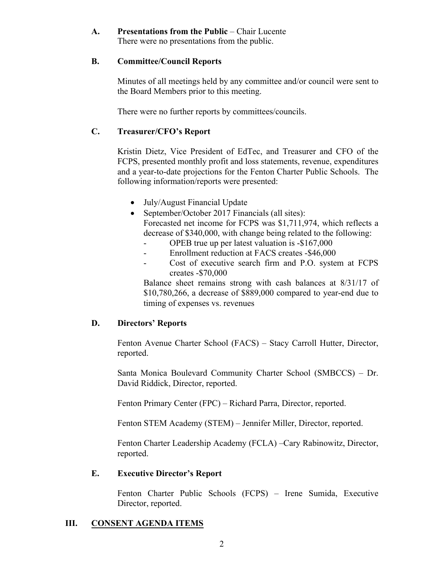#### **A. Presentations from the Public** – Chair Lucente There were no presentations from the public.

#### **B. Committee/Council Reports**

Minutes of all meetings held by any committee and/or council were sent to the Board Members prior to this meeting.

There were no further reports by committees/councils.

## **C. Treasurer/CFO's Report**

Kristin Dietz, Vice President of EdTec, and Treasurer and CFO of the FCPS, presented monthly profit and loss statements, revenue, expenditures and a year-to-date projections for the Fenton Charter Public Schools. The following information/reports were presented:

- July/August Financial Update
- September/October 2017 Financials (all sites): Forecasted net income for FCPS was \$1,711,974, which reflects a decrease of \$340,000, with change being related to the following:
	- OPEB true up per latest valuation is -\$167,000
	- Enrollment reduction at FACS creates -\$46,000
	- Cost of executive search firm and P.O. system at FCPS creates -\$70,000

Balance sheet remains strong with cash balances at 8/31/17 of \$10,780,266, a decrease of \$889,000 compared to year-end due to timing of expenses vs. revenues

## **D. Directors' Reports**

Fenton Avenue Charter School (FACS) – Stacy Carroll Hutter, Director, reported.

Santa Monica Boulevard Community Charter School (SMBCCS) – Dr. David Riddick, Director, reported.

Fenton Primary Center (FPC) – Richard Parra, Director, reported.

Fenton STEM Academy (STEM) – Jennifer Miller, Director, reported.

Fenton Charter Leadership Academy (FCLA) –Cary Rabinowitz, Director, reported.

## **E. Executive Director's Report**

Fenton Charter Public Schools (FCPS) – Irene Sumida, Executive Director, reported.

## **III. CONSENT AGENDA ITEMS**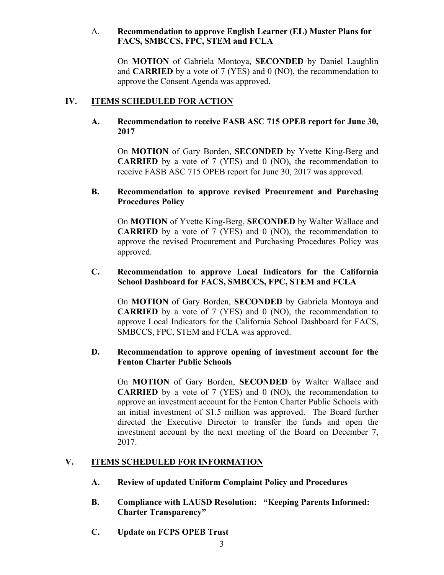#### A. **Recommendation to approve English Learner (EL) Master Plans for FACS, SMBCCS, FPC, STEM and FCLA**

On **MOTION** of Gabriela Montoya, **SECONDED** by Daniel Laughlin and **CARRIED** by a vote of 7 (YES) and 0 (NO), the recommendation to approve the Consent Agenda was approved.

## **IV. ITEMS SCHEDULED FOR ACTION**

#### **A. Recommendation to receive FASB ASC 715 OPEB report for June 30, 2017**

On **MOTION** of Gary Borden, **SECONDED** by Yvette King-Berg and **CARRIED** by a vote of 7 (YES) and 0 (NO), the recommendation to receive FASB ASC 715 OPEB report for June 30, 2017 was approved.

#### **B. Recommendation to approve revised Procurement and Purchasing Procedures Policy**

On **MOTION** of Yvette King-Berg, **SECONDED** by Walter Wallace and **CARRIED** by a vote of 7 (YES) and 0 (NO), the recommendation to approve the revised Procurement and Purchasing Procedures Policy was approved.

#### **C. Recommendation to approve Local Indicators for the California School Dashboard for FACS, SMBCCS, FPC, STEM and FCLA**

On **MOTION** of Gary Borden, **SECONDED** by Gabriela Montoya and **CARRIED** by a vote of 7 (YES) and 0 (NO), the recommendation to approve Local Indicators for the California School Dashboard for FACS, SMBCCS, FPC, STEM and FCLA was approved.

#### **D. Recommendation to approve opening of investment account for the Fenton Charter Public Schools**

On **MOTION** of Gary Borden, **SECONDED** by Walter Wallace and **CARRIED** by a vote of 7 (YES) and 0 (NO), the recommendation to approve an investment account for the Fenton Charter Public Schools with an initial investment of \$1.5 million was approved. The Board further directed the Executive Director to transfer the funds and open the investment account by the next meeting of the Board on December 7, 2017.

## **V. ITEMS SCHEDULED FOR INFORMATION**

- **A. Review of updated Uniform Complaint Policy and Procedures**
- **B. Compliance with LAUSD Resolution: "Keeping Parents Informed: Charter Transparency"**
- **C. Update on FCPS OPEB Trust**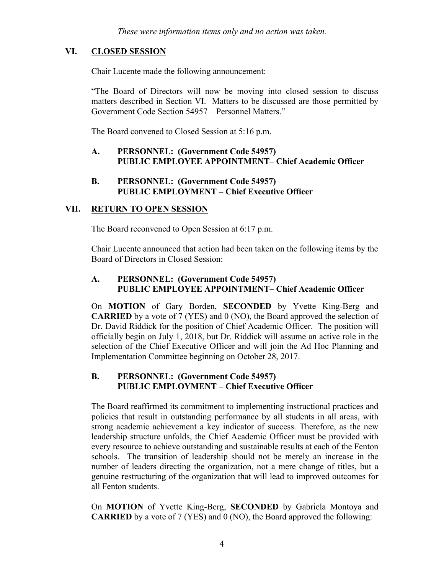## **VI. CLOSED SESSION**

Chair Lucente made the following announcement:

"The Board of Directors will now be moving into closed session to discuss matters described in Section VI. Matters to be discussed are those permitted by Government Code Section 54957 – Personnel Matters."

The Board convened to Closed Session at 5:16 p.m.

#### **A. PERSONNEL: (Government Code 54957) PUBLIC EMPLOYEE APPOINTMENT– Chief Academic Officer**

**B. PERSONNEL: (Government Code 54957) PUBLIC EMPLOYMENT – Chief Executive Officer**

## **VII. RETURN TO OPEN SESSION**

The Board reconvened to Open Session at 6:17 p.m.

Chair Lucente announced that action had been taken on the following items by the Board of Directors in Closed Session:

#### **A. PERSONNEL: (Government Code 54957) PUBLIC EMPLOYEE APPOINTMENT– Chief Academic Officer**

On **MOTION** of Gary Borden, **SECONDED** by Yvette King-Berg and **CARRIED** by a vote of 7 (YES) and 0 (NO), the Board approved the selection of Dr. David Riddick for the position of Chief Academic Officer. The position will officially begin on July 1, 2018, but Dr. Riddick will assume an active role in the selection of the Chief Executive Officer and will join the Ad Hoc Planning and Implementation Committee beginning on October 28, 2017.

#### **B. PERSONNEL: (Government Code 54957) PUBLIC EMPLOYMENT – Chief Executive Officer**

The Board reaffirmed its commitment to implementing instructional practices and policies that result in outstanding performance by all students in all areas, with strong academic achievement a key indicator of success. Therefore, as the new leadership structure unfolds, the Chief Academic Officer must be provided with every resource to achieve outstanding and sustainable results at each of the Fenton schools. The transition of leadership should not be merely an increase in the number of leaders directing the organization, not a mere change of titles, but a genuine restructuring of the organization that will lead to improved outcomes for all Fenton students.

On **MOTION** of Yvette King-Berg, **SECONDED** by Gabriela Montoya and **CARRIED** by a vote of 7 (YES) and 0 (NO), the Board approved the following: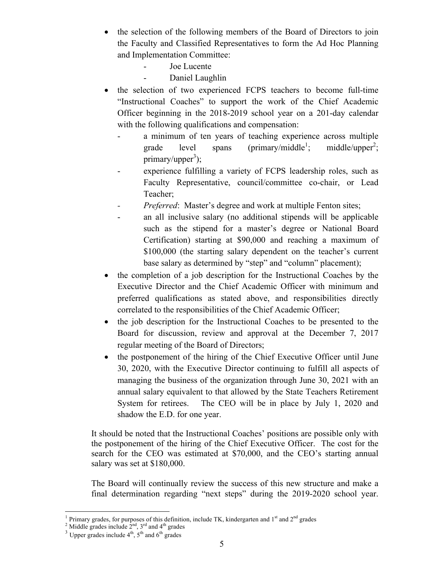- the selection of the following members of the Board of Directors to join the Faculty and Classified Representatives to form the Ad Hoc Planning and Implementation Committee:
	- Joe Lucente
	- Daniel Laughlin
- the selection of two experienced FCPS teachers to become full-time "Instructional Coaches" to support the work of the Chief Academic Officer beginning in the 2018-2019 school year on a 201-day calendar with the following qualifications and compensation:
	- a minimum of ten years of teaching experience across multiple grade level spans (primary/middle<sup>1</sup>;  $;$  middle/upper<sup>2</sup>; primary/upper<sup>3</sup>);
	- experience fulfilling a variety of FCPS leadership roles, such as Faculty Representative, council/committee co-chair, or Lead Teacher;
	- *Preferred*: Master's degree and work at multiple Fenton sites;
	- an all inclusive salary (no additional stipends will be applicable such as the stipend for a master's degree or National Board Certification) starting at \$90,000 and reaching a maximum of \$100,000 (the starting salary dependent on the teacher's current base salary as determined by "step" and "column" placement);
- the completion of a job description for the Instructional Coaches by the Executive Director and the Chief Academic Officer with minimum and preferred qualifications as stated above, and responsibilities directly correlated to the responsibilities of the Chief Academic Officer;
- the job description for the Instructional Coaches to be presented to the Board for discussion, review and approval at the December 7, 2017 regular meeting of the Board of Directors;
- the postponement of the hiring of the Chief Executive Officer until June 30, 2020, with the Executive Director continuing to fulfill all aspects of managing the business of the organization through June 30, 2021 with an annual salary equivalent to that allowed by the State Teachers Retirement System for retirees. The CEO will be in place by July 1, 2020 and shadow the E.D. for one year.

It should be noted that the Instructional Coaches' positions are possible only with the postponement of the hiring of the Chief Executive Officer. The cost for the search for the CEO was estimated at \$70,000, and the CEO's starting annual salary was set at \$180,000.

The Board will continually review the success of this new structure and make a final determination regarding "next steps" during the 2019-2020 school year.

<sup>&</sup>lt;sup>1</sup> Primary grades, for purposes of this definition, include TK, kindergarten and 1<sup>st</sup> and 2<sup>nd</sup> grades <sup>2</sup> Middle grades include 2<sup>nd</sup>, 5<sup>th</sup> and 6<sup>th</sup> grades 3 Upper grades include 4<sup>th</sup>, 5<sup>th</sup> and 6<sup>th</sup> grades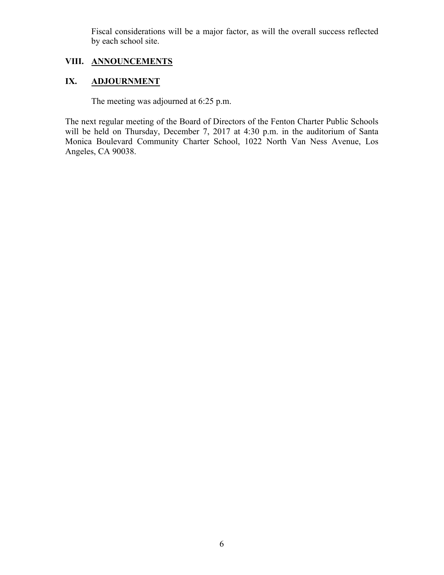Fiscal considerations will be a major factor, as will the overall success reflected by each school site.

# **VIII. ANNOUNCEMENTS**

# **IX. ADJOURNMENT**

The meeting was adjourned at 6:25 p.m.

The next regular meeting of the Board of Directors of the Fenton Charter Public Schools will be held on Thursday, December 7, 2017 at 4:30 p.m. in the auditorium of Santa Monica Boulevard Community Charter School, 1022 North Van Ness Avenue, Los Angeles, CA 90038.